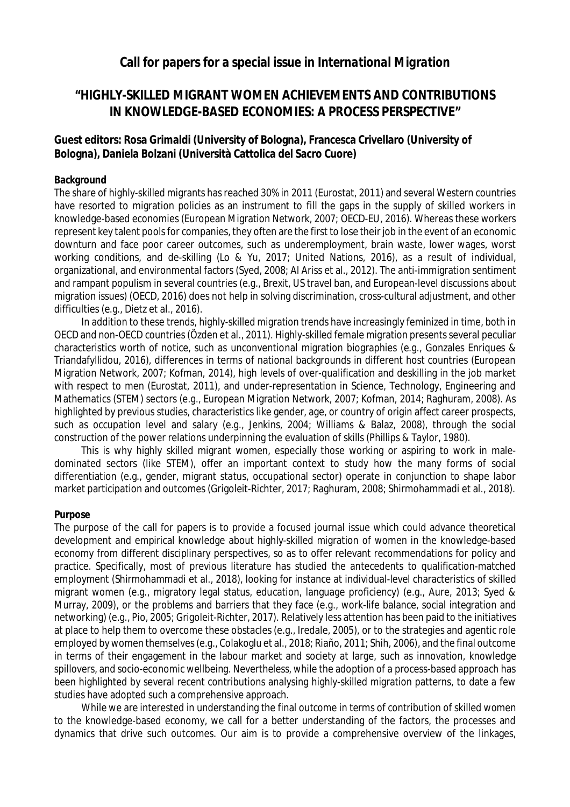## **Call for papers for a special issue in** *International Migration*

# **"HIGHLY-SKILLED MIGRANT WOMEN ACHIEVEMENTS AND CONTRIBUTIONS IN KNOWLEDGE-BASED ECONOMIES: A PROCESS PERSPECTIVE"**

## **Guest editors: Rosa Grimaldi (University of Bologna), Francesca Crivellaro (University of Bologna), Daniela Bolzani (Università Cattolica del Sacro Cuore)**

#### **Background**

The share of highly-skilled migrants has reached 30% in 2011 (Eurostat, 2011) and several Western countries have resorted to migration policies as an instrument to fill the gaps in the supply of skilled workers in knowledge-based economies (European Migration Network, 2007; OECD-EU, 2016). Whereas these workers represent key talent pools for companies, they often are the first to lose their job in the event of an economic downturn and face poor career outcomes, such as underemployment, brain waste, lower wages, worst working conditions, and de-skilling (Lo & Yu, 2017; United Nations, 2016), as a result of individual, organizational, and environmental factors (Syed, 2008; Al Ariss et al., 2012). The anti-immigration sentiment and rampant populism in several countries (e.g., Brexit, US travel ban, and European-level discussions about migration issues) (OECD, 2016) does not help in solving discrimination, cross-cultural adjustment, and other difficulties (e.g., Dietz et al., 2016).

In addition to these trends, highly-skilled migration trends have increasingly feminized in time, both in OECD and non-OECD countries (Özden et al., 2011). Highly-skilled female migration presents several peculiar characteristics worth of notice, such as unconventional migration biographies (e.g., Gonzales Enriques & Triandafyllidou, 2016), differences in terms of national backgrounds in different host countries (European Migration Network, 2007; Kofman, 2014), high levels of over-qualification and deskilling in the job market with respect to men (Eurostat, 2011), and under-representation in Science, Technology, Engineering and Mathematics (STEM) sectors (e.g., European Migration Network, 2007; Kofman, 2014; Raghuram, 2008). As highlighted by previous studies, characteristics like gender, age, or country of origin affect career prospects, such as occupation level and salary (e.g., Jenkins, 2004; Williams & Balaz, 2008), through the social construction of the power relations underpinning the evaluation of skills (Phillips & Taylor, 1980).

This is why highly skilled migrant women, especially those working or aspiring to work in maledominated sectors (like STEM), offer an important context to study how the many forms of social differentiation (e.g., gender, migrant status, occupational sector) operate in conjunction to shape labor market participation and outcomes (Grigoleit-Richter, 2017; Raghuram, 2008; Shirmohammadi et al., 2018).

#### **Purpose**

The purpose of the call for papers is to provide a focused journal issue which could advance theoretical development and empirical knowledge about highly-skilled migration of women in the knowledge-based economy from different disciplinary perspectives, so as to offer relevant recommendations for policy and practice. Specifically, most of previous literature has studied the antecedents to qualification-matched employment (Shirmohammadi et al., 2018), looking for instance at individual-level characteristics of skilled migrant women (e.g., migratory legal status, education, language proficiency) (e.g., Aure, 2013; Syed & Murray, 2009), or the problems and barriers that they face (e.g., work-life balance, social integration and networking) (e.g., Pio, 2005; Grigoleit-Richter, 2017). Relatively less attention has been paid to the initiatives at place to help them to overcome these obstacles (e.g., Iredale, 2005), or to the strategies and agentic role employed by women themselves (e.g., Colakoglu et al., 2018; Riaño, 2011; Shih, 2006), and the final outcome in terms of their engagement in the labour market and society at large, such as innovation, knowledge spillovers, and socio-economic wellbeing. Nevertheless, while the adoption of a process-based approach has been highlighted by several recent contributions analysing highly-skilled migration patterns, to date a few studies have adopted such a comprehensive approach.

While we are interested in understanding the final outcome in terms of contribution of skilled women to the knowledge-based economy, we call for a better understanding of the factors, the processes and dynamics that drive such outcomes. Our aim is to provide a comprehensive overview of the linkages,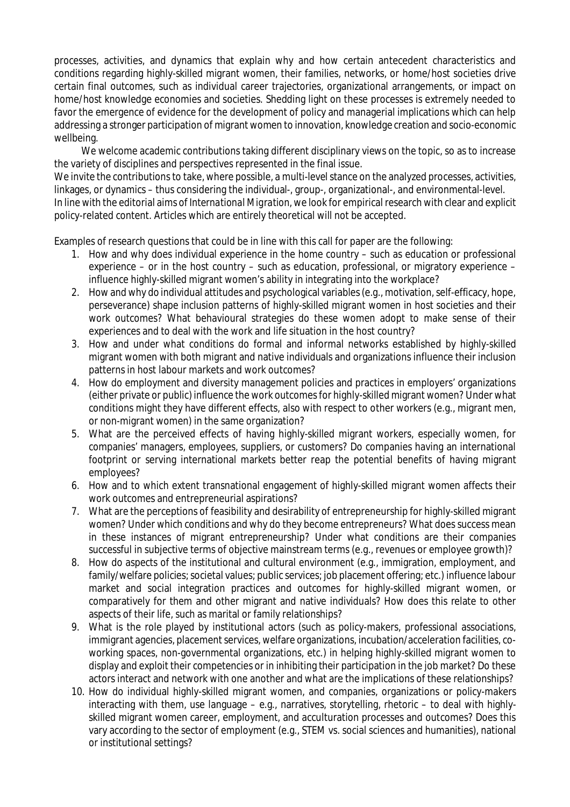processes, activities, and dynamics that explain why and how certain antecedent characteristics and conditions regarding highly-skilled migrant women, their families, networks, or home/host societies drive certain final outcomes, such as individual career trajectories, organizational arrangements, or impact on home/host knowledge economies and societies. Shedding light on these processes is extremely needed to favor the emergence of evidence for the development of policy and managerial implications which can help addressing a stronger participation of migrant women to innovation, knowledge creation and socio-economic wellbeing.

We welcome academic contributions taking different disciplinary views on the topic, so as to increase the variety of disciplines and perspectives represented in the final issue.

We invite the contributions to take, where possible, a multi-level stance on the analyzed processes, activities, linkages, or dynamics – thus considering the individual-, group-, organizational-, and environmental-level. In line with the editorial aims of *International Migration*, we look for empirical research with clear and explicit policy-related content. Articles which are entirely theoretical will not be accepted.

Examples of research questions that could be in line with this call for paper are the following:

- 1. How and why does individual experience in the home country such as education or professional experience – or in the host country – such as education, professional, or migratory experience – influence highly-skilled migrant women's ability in integrating into the workplace?
- 2. How and why do individual attitudes and psychological variables (e.g., motivation, self-efficacy, hope, perseverance) shape inclusion patterns of highly-skilled migrant women in host societies and their work outcomes? What behavioural strategies do these women adopt to make sense of their experiences and to deal with the work and life situation in the host country?
- 3. How and under what conditions do formal and informal networks established by highly-skilled migrant women with both migrant and native individuals and organizations influence their inclusion patterns in host labour markets and work outcomes?
- 4. How do employment and diversity management policies and practices in employers' organizations (either private or public) influence the work outcomes for highly-skilled migrant women? Under what conditions might they have different effects, also with respect to other workers (e.g., migrant men, or non-migrant women) in the same organization?
- 5. What are the perceived effects of having highly-skilled migrant workers, especially women, for companies' managers, employees, suppliers, or customers? Do companies having an international footprint or serving international markets better reap the potential benefits of having migrant employees?
- 6. How and to which extent transnational engagement of highly-skilled migrant women affects their work outcomes and entrepreneurial aspirations?
- 7. What are the perceptions of feasibility and desirability of entrepreneurship for highly-skilled migrant women? Under which conditions and why do they become entrepreneurs? What does success mean in these instances of migrant entrepreneurship? Under what conditions are their companies successful in subjective terms of objective mainstream terms (e.g., revenues or employee growth)?
- 8. How do aspects of the institutional and cultural environment (e.g., immigration, employment, and family/welfare policies; societal values; public services; job placement offering; etc.) influence labour market and social integration practices and outcomes for highly-skilled migrant women, or comparatively for them and other migrant and native individuals? How does this relate to other aspects of their life, such as marital or family relationships?
- 9. What is the role played by institutional actors (such as policy-makers, professional associations, immigrant agencies, placement services, welfare organizations, incubation/acceleration facilities, coworking spaces, non-governmental organizations, etc.) in helping highly-skilled migrant women to display and exploit their competencies or in inhibiting their participation in the job market? Do these actors interact and network with one another and what are the implications of these relationships?
- 10. How do individual highly-skilled migrant women, and companies, organizations or policy-makers interacting with them, use language – e.g., narratives, storytelling, rhetoric – to deal with highlyskilled migrant women career, employment, and acculturation processes and outcomes? Does this vary according to the sector of employment (e.g., STEM vs. social sciences and humanities), national or institutional settings?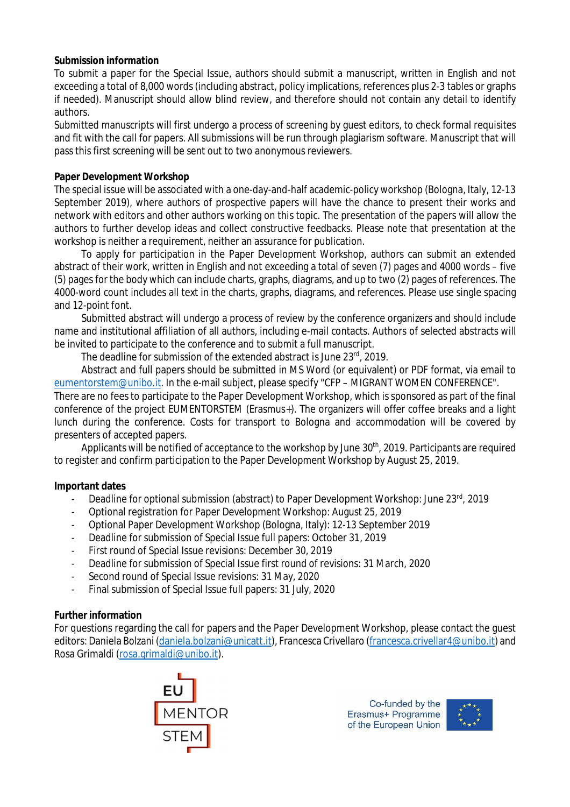#### **Submission information**

To submit a paper for the Special Issue, authors should submit a manuscript, written in English and not exceeding a total of 8,000 words (including abstract, policy implications, references plus 2-3 tables or graphs if needed). Manuscript should allow blind review, and therefore should not contain any detail to identify authors.

Submitted manuscripts will first undergo a process of screening by guest editors, to check formal requisites and fit with the call for papers. All submissions will be run through plagiarism software. Manuscript that will pass this first screening will be sent out to two anonymous reviewers.

### **Paper Development Workshop**

The special issue will be associated with a one-day-and-half academic-policy workshop (Bologna, Italy, 12-13 September 2019), where authors of prospective papers will have the chance to present their works and network with editors and other authors working on this topic. The presentation of the papers will allow the authors to further develop ideas and collect constructive feedbacks. Please note that presentation at the workshop is neither a requirement, neither an assurance for publication.

To apply for participation in the Paper Development Workshop, authors can submit an extended abstract of their work, written in English and not exceeding a total of seven (7) pages and 4000 words – five (5) pages for the body which can include charts, graphs, diagrams, and up to two (2) pages of references. The 4000-word count includes all text in the charts, graphs, diagrams, and references. Please use single spacing and 12-point font.

Submitted abstract will undergo a process of review by the conference organizers and should include name and institutional affiliation of all authors, including e-mail contacts. Authors of selected abstracts will be invited to participate to the conference and to submit a full manuscript.

The deadline for submission of the extended abstract is June 23rd, 2019.

Abstract and full papers should be submitted in MS Word (or equivalent) or PDF format, via email to [eumentorstem@unibo.it.](mailto:eumentorstem@unibo.it.) In the e-mail subject, please specify "CFP – MIGRANT WOMEN CONFERENCE".

There are no fees to participate to the Paper Development Workshop, which is sponsored as part of the final conference of the project EUMENTORSTEM (Erasmus+). The organizers will offer coffee breaks and a light lunch during the conference. Costs for transport to Bologna and accommodation will be covered by presenters of accepted papers.

Applicants will be notified of acceptance to the workshop by June 30<sup>th</sup>, 2019. Participants are required to register and confirm participation to the Paper Development Workshop by August 25, 2019.

### **Important dates**

- Deadline for optional submission (abstract) to Paper Development Workshop: June 23<sup>rd</sup>, 2019
- Optional registration for Paper Development Workshop: August 25, 2019
- Optional Paper Development Workshop (Bologna, Italy): 12-13 September 2019
- Deadline for submission of Special Issue full papers: October 31, 2019
- First round of Special Issue revisions: December 30, 2019
- Deadline for submission of Special Issue first round of revisions: 31 March, 2020
- Second round of Special Issue revisions: 31 May, 2020
- Final submission of Special Issue full papers: 31 July, 2020

### **Further information**

For questions regarding the call for papers and the Paper Development Workshop, please contact the guest editors: Daniela Bolzani [\(daniela.bolzani@unicatt.it\),](mailto:(daniela.bolzani@unicatt.it),) Francesca Crivellaro [\(francesca.crivellar4@unibo.it\)](mailto:(francesca.crivellar4@unibo.it)) and Rosa Grimaldi [\(rosa.grimaldi@unibo.it\).](mailto:(rosa.grimaldi@unibo.it).) 



Co-funded by the Erasmus+ Programme of the European Union